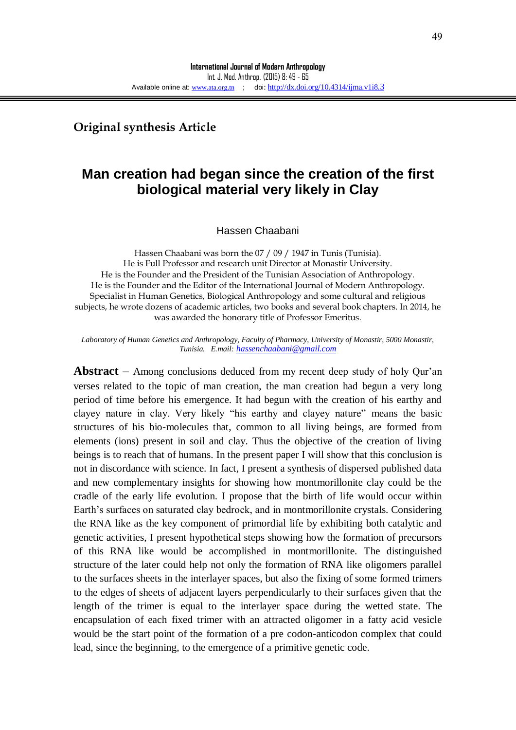**Original synthesis Article**

# **Man creation had began since the creation of the first biological material very likely in Clay**

Hassen Chaabani

Hassen Chaabani was born the 07 / 09 / 1947 in Tunis (Tunisia). He is Full Professor and research unit Director at Monastir University. He is the Founder and the President of the Tunisian Association of Anthropology. He is the Founder and the Editor of the International Journal of Modern Anthropology. Specialist in Human Genetics, Biological Anthropology and some cultural and religious subjects, he wrote dozens of academic articles, two books and several book chapters. In 2014, he was awarded the honorary title of Professor Emeritus.

*Laboratory of Human Genetics and Anthropology, Faculty of Pharmacy, University of Monastir, 5000 Monastir, Tunisia. E.mail: [hassenchaabani@gmail.com](mailto:hassenchaabani@gmail.com)*

**Abstract** – Among conclusions deduced from my recent deep study of holy Qur'an verses related to the topic of man creation, the man creation had begun a very long period of time before his emergence. It had begun with the creation of his earthy and clayey nature in clay. Very likely "his earthy and clayey nature" means the basic structures of his bio-molecules that, common to all living beings, are formed from elements (ions) present in soil and clay. Thus the objective of the creation of living beings is to reach that of humans. In the present paper I will show that this conclusion is not in discordance with science. In fact, I present a synthesis of dispersed published data and new complementary insights for showing how montmorillonite clay could be the cradle of the early life evolution. I propose that the birth of life would occur within Earth's surfaces on saturated clay bedrock, and in montmorillonite crystals. Considering the RNA like as the key component of primordial life by exhibiting both catalytic and genetic activities, I present hypothetical steps showing how the formation of precursors of this RNA like would be accomplished in montmorillonite. The distinguished structure of the later could help not only the formation of RNA like oligomers parallel to the surfaces sheets in the interlayer spaces, but also the fixing of some formed trimers to the edges of sheets of adjacent layers perpendicularly to their surfaces given that the length of the trimer is equal to the interlayer space during the wetted state. The encapsulation of each fixed trimer with an attracted oligomer in a fatty acid vesicle would be the start point of the formation of a pre codon-anticodon complex that could lead, since the beginning, to the emergence of a primitive genetic code.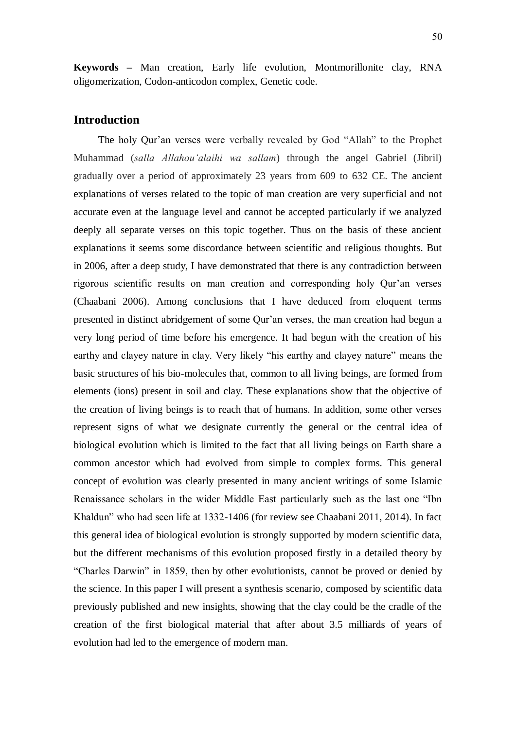**Keywords –** Man creation, Early life evolution, Montmorillonite clay, RNA oligomerization, Codon-anticodon complex, Genetic code.

# **Introduction**

The holy Qur'an verses were verbally revealed by God "Allah" to the Prophet Muhammad (*salla Allahou'alaihi wa sallam*) through the angel Gabriel (Jibril) gradually over a period of approximately 23 years from 609 to 632 CE. The ancient explanations of verses related to the topic of man creation are very superficial and not accurate even at the language level and cannot be accepted particularly if we analyzed deeply all separate verses on this topic together. Thus on the basis of these ancient explanations it seems some discordance between scientific and religious thoughts. But in 2006, after a deep study, I have demonstrated that there is any contradiction between rigorous scientific results on man creation and corresponding holy Qur'an verses (Chaabani 2006). Among conclusions that I have deduced from eloquent terms presented in distinct abridgement of some Qur'an verses, the man creation had begun a very long period of time before his emergence. It had begun with the creation of his earthy and clayey nature in clay. Very likely "his earthy and clayey nature" means the basic structures of his bio-molecules that, common to all living beings, are formed from elements (ions) present in soil and clay. These explanations show that the objective of the creation of living beings is to reach that of humans. In addition, some other verses represent signs of what we designate currently the general or the central idea of biological evolution which is limited to the fact that all living beings on Earth share a common ancestor which had evolved from simple to complex forms. This general concept of evolution was clearly presented in many ancient writings of some Islamic Renaissance scholars in the wider Middle East particularly such as the last one "Ibn Khaldun" who had seen life at 1332-1406 (for review see Chaabani 2011, 2014). In fact this general idea of biological evolution is strongly supported by modern scientific data, but the different mechanisms of this evolution proposed firstly in a detailed theory by "Charles Darwin" in 1859, then by other evolutionists, cannot be proved or denied by the science. In this paper I will present a synthesis scenario, composed by scientific data previously published and new insights, showing that the clay could be the cradle of the creation of the first biological material that after about 3.5 milliards of years of evolution had led to the emergence of modern man.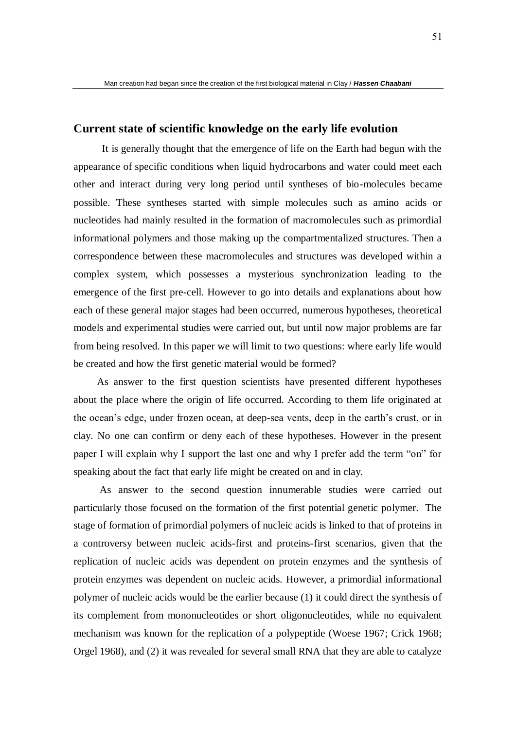## **Current state of scientific knowledge on the early life evolution**

 It is generally thought that the emergence of life on the Earth had begun with the appearance of specific conditions when liquid hydrocarbons and water could meet each other and interact during very long period until syntheses of bio-molecules became possible. These syntheses started with simple molecules such as amino acids or nucleotides had mainly resulted in the formation of macromolecules such as primordial informational polymers and those making up the compartmentalized structures. Then a correspondence between these macromolecules and structures was developed within a complex system, which possesses a mysterious synchronization leading to the emergence of the first pre-cell. However to go into details and explanations about how each of these general major stages had been occurred, numerous hypotheses, theoretical models and experimental studies were carried out, but until now major problems are far from being resolved. In this paper we will limit to two questions: where early life would be created and how the first genetic material would be formed?

 As answer to the first question scientists have presented different hypotheses about the place where the origin of life occurred. According to them life originated at the ocean's edge, under frozen ocean, at deep-sea vents, deep in the earth's crust, or in clay. No one can confirm or deny each of these hypotheses. However in the present paper I will explain why I support the last one and why I prefer add the term "on" for speaking about the fact that early life might be created on and in clay.

 As answer to the second question innumerable studies were carried out particularly those focused on the formation of the first potential genetic polymer. The stage of formation of primordial polymers of nucleic acids is linked to that of proteins in a controversy between nucleic acids-first and proteins-first scenarios, given that the replication of nucleic acids was dependent on protein enzymes and the synthesis of protein enzymes was dependent on nucleic acids. However, a primordial informational polymer of nucleic acids would be the earlier because (1) it could direct the synthesis of its complement from mononucleotides or short oligonucleotides, while no equivalent mechanism was known for the replication of a polypeptide (Woese 1967; Crick 1968; Orgel 1968), and (2) it was revealed for several small RNA that they are able to catalyze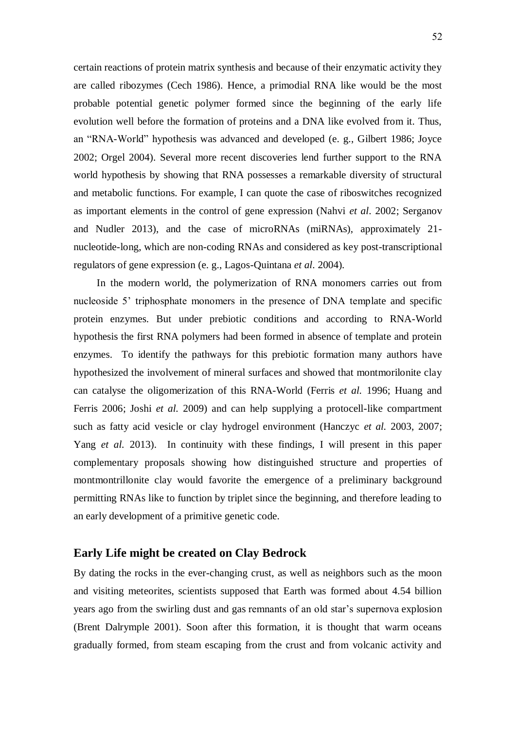certain reactions of protein matrix synthesis and because of their enzymatic activity they are called ribozymes (Cech 1986). Hence, a primodial RNA like would be the most probable potential genetic polymer formed since the beginning of the early life evolution well before the formation of proteins and a DNA like evolved from it. Thus, an "RNA-World" hypothesis was advanced and developed (e. g., Gilbert 1986; Joyce 2002; Orgel 2004). Several more recent discoveries lend further support to the RNA world hypothesis by showing that RNA possesses a remarkable diversity of structural and metabolic functions. For example, I can quote the case of riboswitches recognized as important elements in the control of gene expression (Nahvi *et al*. 2002; Serganov and Nudler 2013), and the case of microRNAs (miRNAs), approximately 21 nucleotide-long, which are non-coding RNAs and considered as key post-transcriptional regulators of gene expression (e. g., Lagos-Quintana *et al*. 2004).

 In the modern world, the polymerization of RNA monomers carries out from nucleoside 5' triphosphate monomers in the presence of DNA template and specific protein enzymes. But under prebiotic conditions and according to RNA-World hypothesis the first RNA polymers had been formed in absence of template and protein enzymes. To identify the pathways for this prebiotic formation many authors have hypothesized the involvement of mineral surfaces and showed that montmorilonite clay can catalyse the oligomerization of this RNA-World (Ferris *et al.* 1996; Huang and Ferris 2006; Joshi *et al.* 2009) and can help supplying a protocell-like compartment such as fatty acid vesicle or clay hydrogel environment (Hanczyc *et al.* 2003, 2007; Yang *et al.* 2013). In continuity with these findings, I will present in this paper complementary proposals showing how distinguished structure and properties of montmontrillonite clay would favorite the emergence of a preliminary background permitting RNAs like to function by triplet since the beginning, and therefore leading to an early development of a primitive genetic code.

### **Early Life might be created on Clay Bedrock**

By dating the rocks in the ever-changing crust, as well as neighbors such as the moon and visiting meteorites, scientists supposed that Earth was formed about 4.54 billion years ago from the swirling dust and gas remnants of an old star's supernova explosion (Brent Dalrymple 2001). Soon after this formation, it is thought that warm oceans gradually formed, from steam escaping from the crust and from volcanic activity and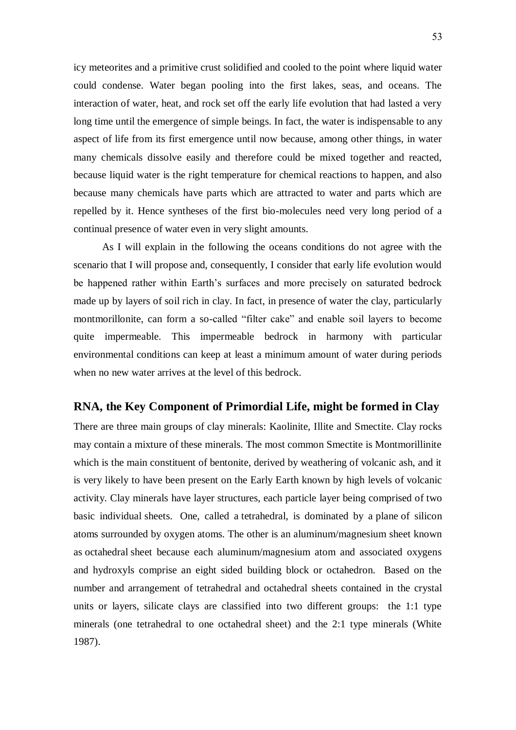icy meteorites and a primitive crust solidified and cooled to the point where liquid water could condense. Water began pooling into the first lakes, seas, and oceans. The interaction of water, heat, and rock set off the early life evolution that had lasted a very long time until the emergence of simple beings. In fact, the water is indispensable to any aspect of life from its first emergence until now because, among other things, in water many chemicals dissolve easily and therefore could be mixed together and reacted, because liquid water is the right temperature for chemical reactions to happen, and also because many chemicals have parts which are attracted to water and parts which are repelled by it. Hence syntheses of the first bio-molecules need very long period of a continual presence of water even in very slight amounts.

 As I will explain in the following the oceans conditions do not agree with the scenario that I will propose and, consequently, I consider that early life evolution would be happened rather within Earth's surfaces and more precisely on saturated bedrock made up by layers of soil rich in clay. In fact, in presence of water the clay, particularly montmorillonite, can form a so-called "filter cake" and enable soil layers to become quite impermeable. This impermeable bedrock in harmony with particular environmental conditions can keep at least a minimum amount of water during periods when no new water arrives at the level of this bedrock.

### **RNA, the Key Component of Primordial Life, might be formed in Clay**

There are three main groups of clay minerals: Kaolinite, Illite and Smectite. Clay rocks may contain a mixture of these minerals. The most common Smectite is Montmorillinite which is the main constituent of bentonite, derived by weathering of volcanic ash, and it is very likely to have been present on the Early Earth known by high levels of volcanic activity. Clay minerals have layer structures, each particle layer being comprised of two basic individual sheets. One, called a tetrahedral, is dominated by a plane of silicon atoms surrounded by oxygen atoms. The other is an aluminum/magnesium sheet known as octahedral sheet because each aluminum/magnesium atom and associated oxygens and hydroxyls comprise an eight sided building block or octahedron. Based on the number and arrangement of tetrahedral and octahedral sheets contained in the crystal units or layers, silicate clays are classified into two different groups: the 1:1 type minerals (one tetrahedral to one octahedral sheet) and the 2:1 type minerals (White 1987).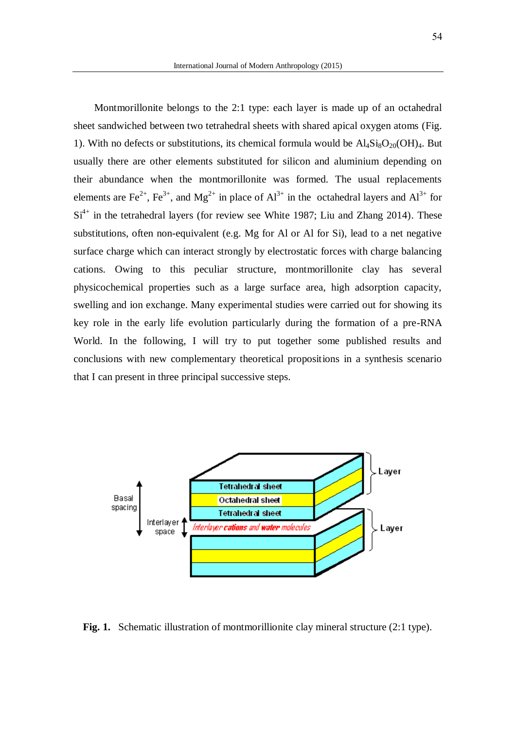Montmorillonite belongs to the 2:1 type: each layer is made up of an octahedral sheet sandwiched between two tetrahedral sheets with shared apical oxygen atoms (Fig. 1). With no defects or substitutions, its chemical formula would be  $\text{Al}_4\text{Si}_8\text{O}_{20}(\text{OH})_4$ . But usually there are other elements substituted for silicon and aluminium depending on their abundance when the montmorillonite was formed. The usual replacements elements are Fe<sup>2+</sup>, Fe<sup>3+</sup>, and Mg<sup>2+</sup> in place of  $Al^{3+}$  in the octahedral layers and  $Al^{3+}$  for  $Si<sup>4+</sup>$  in the tetrahedral layers (for review see White 1987; Liu and Zhang 2014). These substitutions, often non-equivalent (e.g. Mg for Al or Al for Si), lead to a net negative surface charge which can interact strongly by electrostatic forces with charge balancing cations. Owing to this peculiar structure, montmorillonite clay has several physicochemical properties such as a large surface area, high adsorption capacity, swelling and ion exchange. Many experimental studies were carried out for showing its key role in the early life evolution particularly during the formation of a pre-RNA World. In the following, I will try to put together some published results and conclusions with new complementary theoretical propositions in a synthesis scenario that I can present in three principal successive steps.



Fig. 1. Schematic illustration of montmorillionite clay mineral structure (2:1 type).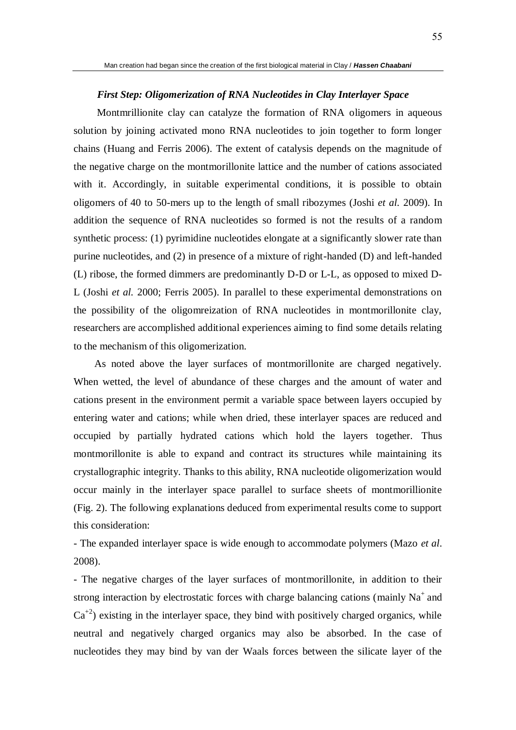#### *First Step: Oligomerization of RNA Nucleotides in Clay Interlayer Space*

 Montmrillionite clay can catalyze the formation of RNA oligomers in aqueous solution by joining activated mono RNA nucleotides to join together to form longer chains (Huang and Ferris 2006). The extent of catalysis depends on the magnitude of the negative charge on the montmorillonite lattice and the number of cations associated with it. Accordingly, in suitable experimental conditions, it is possible to obtain oligomers of 40 to 50-mers up to the length of small ribozymes (Joshi *et al.* 2009). In addition the sequence of RNA nucleotides so formed is not the results of a random synthetic process: (1) pyrimidine nucleotides elongate at a significantly slower rate than purine nucleotides, and (2) in presence of a mixture of right-handed (D) and left-handed (L) ribose, the formed dimmers are predominantly D-D or L-L, as opposed to mixed D-L (Joshi *et al.* 2000; Ferris 2005). In parallel to these experimental demonstrations on the possibility of the oligomreization of RNA nucleotides in montmorillonite clay, researchers are accomplished additional experiences aiming to find some details relating to the mechanism of this oligomerization.

 As noted above the layer surfaces of montmorillonite are charged negatively. When wetted, the level of abundance of these charges and the amount of water and cations present in the environment permit a variable space between layers occupied by entering water and cations; while when dried, these interlayer spaces are reduced and occupied by partially hydrated cations which hold the layers together. Thus montmorillonite is able to expand and contract its structures while maintaining its crystallographic integrity. Thanks to this ability, RNA nucleotide oligomerization would occur mainly in the interlayer space parallel to surface sheets of montmorillionite (Fig. 2). The following explanations deduced from experimental results come to support this consideration:

- The expanded interlayer space is wide enough to accommodate polymers (Mazo *et al*. 2008).

- The negative charges of the layer surfaces of montmorillonite, in addition to their strong interaction by electrostatic forces with charge balancing cations (mainly  $Na<sup>+</sup>$  and  $Ca^{2}$ ) existing in the interlayer space, they bind with positively charged organics, while neutral and negatively charged organics may also be absorbed. In the case of nucleotides they may bind by van der Waals forces between the silicate layer of the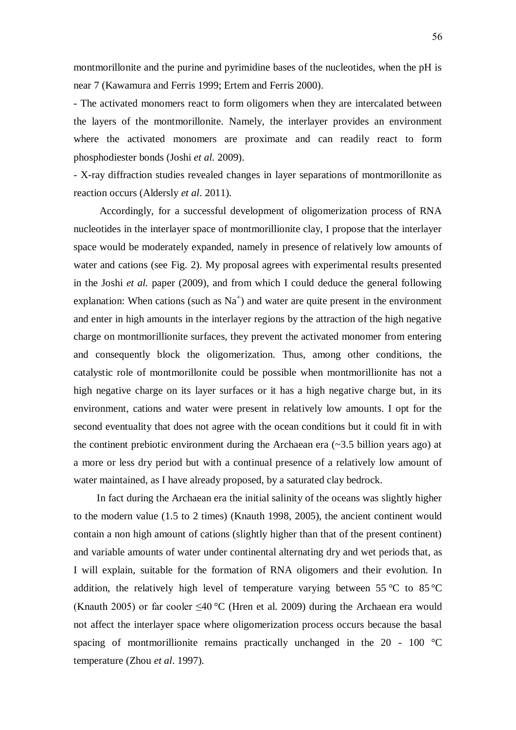montmorillonite and the purine and pyrimidine bases of the nucleotides, when the pH is near 7 (Kawamura and Ferris 1999; Ertem and Ferris 2000).

- The activated monomers react to form oligomers when they are intercalated between the layers of the montmorillonite. Namely, the interlayer provides an environment where the activated monomers are proximate and can readily react to form phosphodiester bonds (Joshi *et al.* 2009).

- X-ray diffraction studies revealed changes in layer separations of montmorillonite as reaction occurs (Aldersly *et al*. 2011).

 Accordingly, for a successful development of oligomerization process of RNA nucleotides in the interlayer space of montmorillionite clay, I propose that the interlayer space would be moderately expanded, namely in presence of relatively low amounts of water and cations (see Fig. 2). My proposal agrees with experimental results presented in the Joshi *et al.* paper (2009), and from which I could deduce the general following explanation: When cations (such as  $Na<sup>+</sup>$ ) and water are quite present in the environment and enter in high amounts in the interlayer regions by the attraction of the high negative charge on montmorillionite surfaces, they prevent the activated monomer from entering and consequently block the oligomerization. Thus, among other conditions, the catalystic role of montmorillonite could be possible when montmorillionite has not a high negative charge on its layer surfaces or it has a high negative charge but, in its environment, cations and water were present in relatively low amounts. I opt for the second eventuality that does not agree with the ocean conditions but it could fit in with the continent prebiotic environment during the Archaean era  $(\sim 3.5)$  billion years ago) at a more or less dry period but with a continual presence of a relatively low amount of water maintained, as I have already proposed, by a saturated clay bedrock.

 In fact during the Archaean era the initial salinity of the oceans was slightly higher to the modern value (1.5 to 2 times) (Knauth 1998, 2005), the ancient continent would contain a non high amount of cations (slightly higher than that of the present continent) and variable amounts of water under continental alternating dry and wet periods that, as I will explain, suitable for the formation of RNA oligomers and their evolution. In addition, the relatively high level of temperature varying between 55 °C to 85 °C (Knauth 2005) or far cooler  $\leq 40$  °C (Hren et al. 2009) during the Archaean era would not affect the interlayer space where oligomerization process occurs because the basal spacing of montmorillionite remains practically unchanged in the  $20 - 100$  °C temperature (Zhou *et al*. 1997).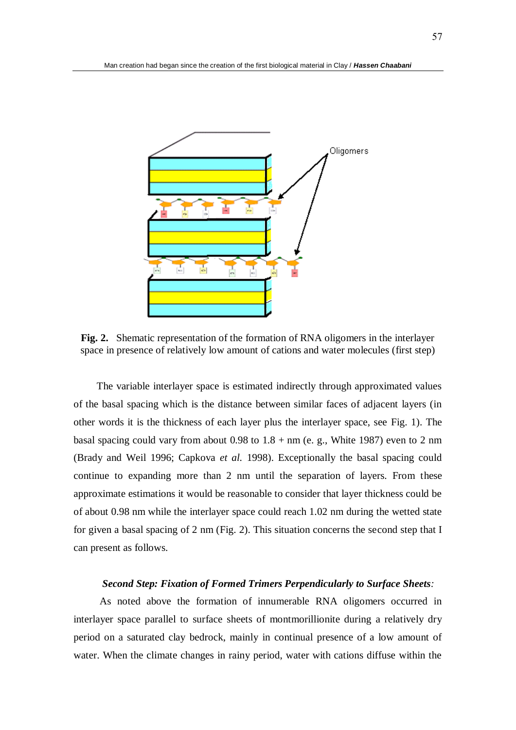

**Fig. 2.** Shematic representation of the formation of RNA oligomers in the interlayer space in presence of relatively low amount of cations and water molecules (first step)

 The variable interlayer space is estimated indirectly through approximated values of the basal spacing which is the distance between similar faces of adjacent layers (in other words it is the thickness of each layer plus the interlayer space, see Fig. 1). The basal spacing could vary from about 0.98 to  $1.8 + nm$  (e. g., White 1987) even to 2 nm (Brady and Weil 1996; Capkova *et al.* 1998). Exceptionally the basal spacing could continue to expanding more than 2 nm until the separation of layers. From these approximate estimations it would be reasonable to consider that layer thickness could be of about 0.98 nm while the interlayer space could reach 1.02 nm during the wetted state for given a basal spacing of 2 nm (Fig. 2). This situation concerns the second step that I can present as follows.

#### *Second Step: Fixation of Formed Trimers Perpendicularly to Surface Sheets:*

 As noted above the formation of innumerable RNA oligomers occurred in interlayer space parallel to surface sheets of montmorillionite during a relatively dry period on a saturated clay bedrock, mainly in continual presence of a low amount of water. When the climate changes in rainy period, water with cations diffuse within the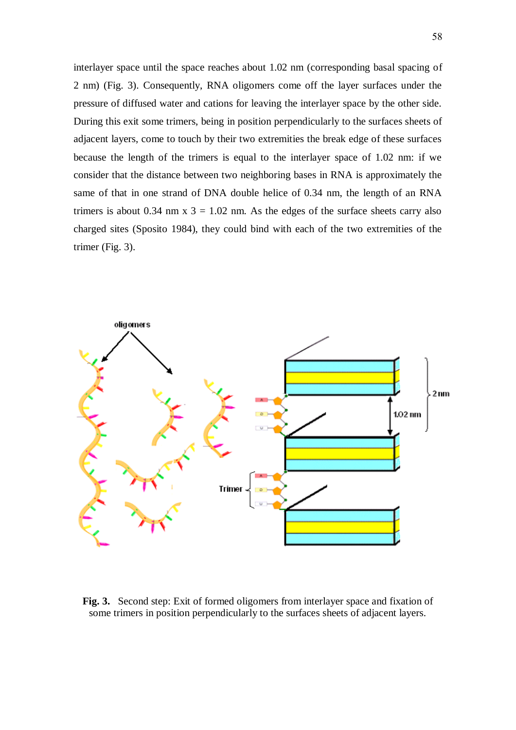interlayer space until the space reaches about 1.02 nm (corresponding basal spacing of 2 nm) (Fig. 3). Consequently, RNA oligomers come off the layer surfaces under the pressure of diffused water and cations for leaving the interlayer space by the other side. During this exit some trimers, being in position perpendicularly to the surfaces sheets of adjacent layers, come to touch by their two extremities the break edge of these surfaces because the length of the trimers is equal to the interlayer space of 1.02 nm: if we consider that the distance between two neighboring bases in RNA is approximately the same of that in one strand of DNA double helice of 0.34 nm, the length of an RNA trimers is about 0.34 nm  $x$  3 = 1.02 nm. As the edges of the surface sheets carry also charged sites (Sposito 1984), they could bind with each of the two extremities of the trimer (Fig. 3).



**Fig. 3.** Second step: Exit of formed oligomers from interlayer space and fixation of some trimers in position perpendicularly to the surfaces sheets of adjacent layers.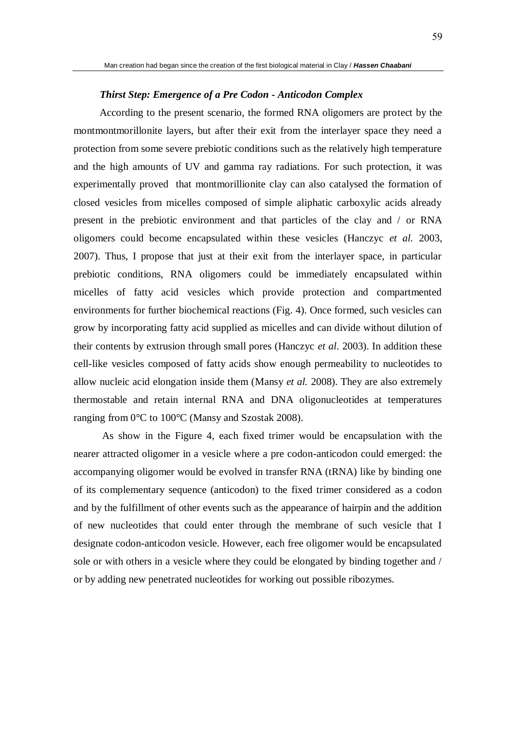#### *Thirst Step: Emergence of a Pre Codon - Anticodon Complex*

 According to the present scenario, the formed RNA oligomers are protect by the montmontmorillonite layers, but after their exit from the interlayer space they need a protection from some severe prebiotic conditions such as the relatively high temperature and the high amounts of UV and gamma ray radiations. For such protection, it was experimentally proved that montmorillionite clay can also catalysed the formation of closed vesicles from micelles composed of simple aliphatic carboxylic acids already present in the prebiotic environment and that particles of the clay and / or RNA oligomers could become encapsulated within these vesicles (Hanczyc *et al.* 2003, 2007). Thus, I propose that just at their exit from the interlayer space, in particular prebiotic conditions, RNA oligomers could be immediately encapsulated within micelles of fatty acid vesicles which provide protection and compartmented environments for further biochemical reactions (Fig. 4). Once formed, such vesicles can grow by incorporating fatty acid supplied as micelles and can divide without dilution of their contents by extrusion through small pores (Hanczyc *et al*. 2003). In addition these cell-like vesicles composed of fatty acids show enough permeability to nucleotides to allow nucleic acid elongation inside them (Mansy *et al.* 2008). They are also extremely thermostable and retain internal RNA and DNA oligonucleotides at temperatures ranging from 0°C to 100°C (Mansy and Szostak 2008).

 As show in the Figure 4, each fixed trimer would be encapsulation with the nearer attracted oligomer in a vesicle where a pre codon-anticodon could emerged: the accompanying oligomer would be evolved in transfer RNA (tRNA) like by binding one of its complementary sequence (anticodon) to the fixed trimer considered as a codon and by the fulfillment of other events such as the appearance of hairpin and the addition of new nucleotides that could enter through the membrane of such vesicle that I designate codon-anticodon vesicle. However, each free oligomer would be encapsulated sole or with others in a vesicle where they could be elongated by binding together and / or by adding new penetrated nucleotides for working out possible ribozymes.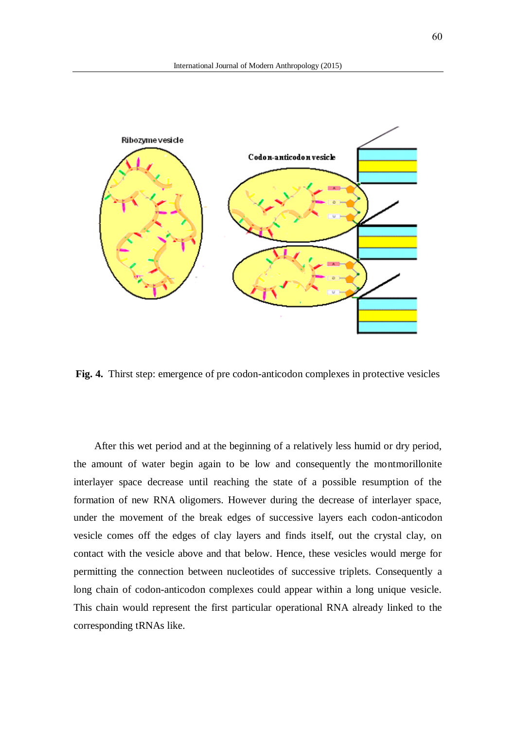

**Fig. 4.** Thirst step: emergence of pre codon-anticodon complexes in protective vesicles

 After this wet period and at the beginning of a relatively less humid or dry period, the amount of water begin again to be low and consequently the montmorillonite interlayer space decrease until reaching the state of a possible resumption of the formation of new RNA oligomers. However during the decrease of interlayer space, under the movement of the break edges of successive layers each codon-anticodon vesicle comes off the edges of clay layers and finds itself, out the crystal clay, on contact with the vesicle above and that below. Hence, these vesicles would merge for permitting the connection between nucleotides of successive triplets. Consequently a long chain of codon-anticodon complexes could appear within a long unique vesicle. This chain would represent the first particular operational RNA already linked to the corresponding tRNAs like.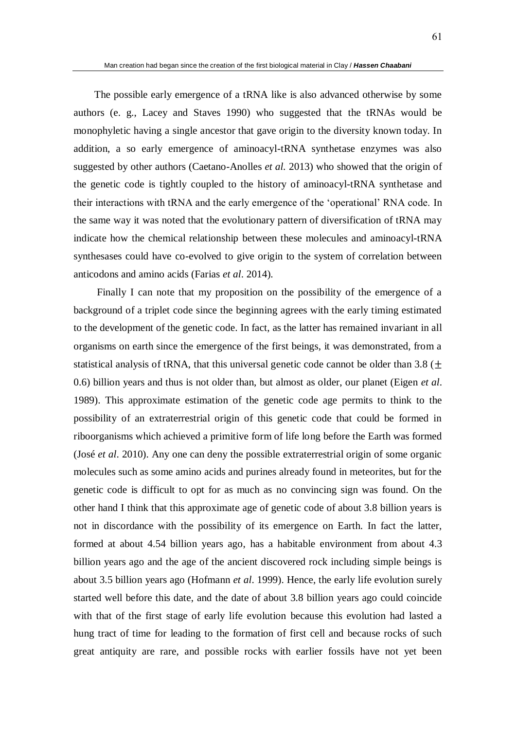The possible early emergence of a tRNA like is also advanced otherwise by some authors (e. g., Lacey and Staves 1990) who suggested that the tRNAs would be monophyletic having a single ancestor that gave origin to the diversity known today. In addition, a so early emergence of aminoacyl-tRNA synthetase enzymes was also suggested by other authors (Caetano-Anolles *et al.* 2013) who showed that the origin of the genetic code is tightly coupled to the history of aminoacyl-tRNA synthetase and their interactions with tRNA and the early emergence of the 'operational' RNA code. In the same way it was noted that the evolutionary pattern of diversification of tRNA may indicate how the chemical relationship between these molecules and aminoacyl-tRNA synthesases could have co-evolved to give origin to the system of correlation between anticodons and amino acids (Farias *et al*. 2014).

 Finally I can note that my proposition on the possibility of the emergence of a background of a triplet code since the beginning agrees with the early timing estimated to the development of the genetic code. In fact, as the latter has remained invariant in all organisms on earth since the emergence of the first beings, it was demonstrated, from a statistical analysis of tRNA, that this universal genetic code cannot be older than 3.8 ( $\pm$ 0.6) billion years and thus is not older than, but almost as older, our planet (Eigen *et al*. 1989). This approximate estimation of the genetic code age permits to think to the possibility of an extraterrestrial origin of this genetic code that could be formed in riboorganisms which achieved a primitive form of life long before the Earth was formed (José *et al*. 2010). Any one can deny the possible extraterrestrial origin of some organic molecules such as some amino acids and purines already found in meteorites, but for the genetic code is difficult to opt for as much as no convincing sign was found. On the other hand I think that this approximate age of genetic code of about 3.8 billion years is not in discordance with the possibility of its emergence on Earth. In fact the latter, formed at about 4.54 billion years ago, has a habitable environment from about 4.3 billion years ago and the age of the ancient discovered rock including simple beings is about 3.5 billion years ago (Hofmann *et al*. 1999). Hence, the early life evolution surely started well before this date, and the date of about 3.8 billion years ago could coincide with that of the first stage of early life evolution because this evolution had lasted a hung tract of time for leading to the formation of first cell and because rocks of such great antiquity are rare, and possible rocks with earlier fossils have not yet been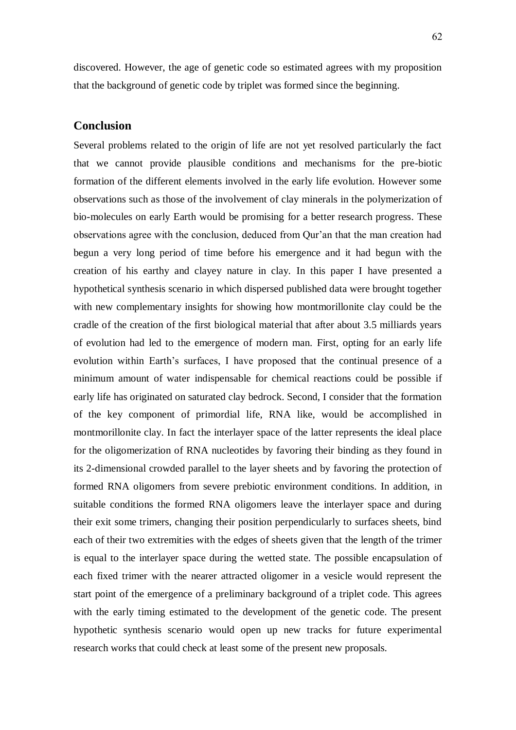discovered. However, the age of genetic code so estimated agrees with my proposition that the background of genetic code by triplet was formed since the beginning.

### **Conclusion**

Several problems related to the origin of life are not yet resolved particularly the fact that we cannot provide plausible conditions and mechanisms for the pre-biotic formation of the different elements involved in the early life evolution. However some observations such as those of the involvement of clay minerals in the polymerization of bio-molecules on early Earth would be promising for a better research progress. These observations agree with the conclusion, deduced from Qur'an that the man creation had begun a very long period of time before his emergence and it had begun with the creation of his earthy and clayey nature in clay. In this paper I have presented a hypothetical synthesis scenario in which dispersed published data were brought together with new complementary insights for showing how montmorillonite clay could be the cradle of the creation of the first biological material that after about 3.5 milliards years of evolution had led to the emergence of modern man. First, opting for an early life evolution within Earth's surfaces, I have proposed that the continual presence of a minimum amount of water indispensable for chemical reactions could be possible if early life has originated on saturated clay bedrock. Second, I consider that the formation of the key component of primordial life, RNA like, would be accomplished in montmorillonite clay. In fact the interlayer space of the latter represents the ideal place for the oligomerization of RNA nucleotides by favoring their binding as they found in its 2-dimensional crowded parallel to the layer sheets and by favoring the protection of formed RNA oligomers from severe prebiotic environment conditions. In addition, in suitable conditions the formed RNA oligomers leave the interlayer space and during their exit some trimers, changing their position perpendicularly to surfaces sheets, bind each of their two extremities with the edges of sheets given that the length of the trimer is equal to the interlayer space during the wetted state. The possible encapsulation of each fixed trimer with the nearer attracted oligomer in a vesicle would represent the start point of the emergence of a preliminary background of a triplet code. This agrees with the early timing estimated to the development of the genetic code. The present hypothetic synthesis scenario would open up new tracks for future experimental research works that could check at least some of the present new proposals.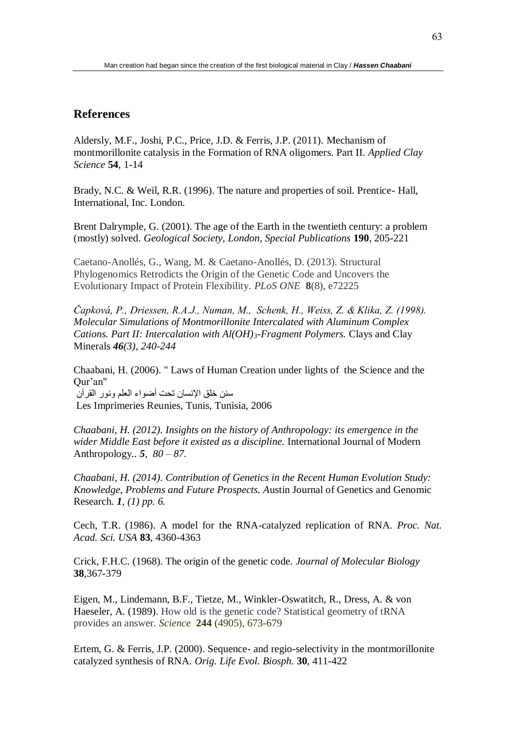# **References**

Aldersly, M.F., Joshi, P.C., Price, J.D. & Ferris, J.P. (2011). Mechanism of montmorillonite catalysis in the Formation of RNA oligomers. Part II. *Applied Clay Science* **54**, 1-14

Brady, N.C. & Weil, R.R. (1996). The nature and properties of soil. Prentice- Hall, International, Inc. London.

Brent Dalrymple, G. (2001). The age of the Earth in the twentieth century: a problem (mostly) solved. *Geological Society, London, Special Publications* **190**, 205-221

Caetano-Anollés, G., Wang, M. & Caetano-Anollés, D. (2013). Structural Phylogenomics Retrodicts the Origin of the Genetic Code and Uncovers the Evolutionary Impact of Protein Flexibility. *PLoS ONE* **8**(8), e72225

*Čapková, P., Driessen, R.A.J., Numan, M., Schenk, H., Weiss, Z. & Klika, Z. (1998). Molecular Simulations of Montmorillonite Intercalated with Aluminum Complex Cations. Part II: Intercalation with Al(OH)3-Fragment Polymers.* Clays and Clay Minerals *46(3), 240-244*

Chaabani, H. (2006). " Laws of Human Creation under lights of the Science and the Qur'an" سنن خلق اإلنسان تحت أضواء العلم ونور القرآن Les Imprimeries Reunies, Tunis, Tunisia, 2006

*Chaabani, H. (2012). Insights on the history of Anthropology: its emergence in the wider Middle East before it existed as a discipline.* International Journal of Modern Anthropology*.. 5, 80 – 87.* 

*Chaabani, H. (2014). Contribution of Genetics in the Recent Human Evolution Study: Knowledge, Problems and Future Prospects. A*ustin Journal of Genetics and Genomic Research*. 1, (1) pp. 6.* 

Cech, T.R. (1986). A model for the RNA-catalyzed replication of RNA. *Proc. Nat. Acad. Sci. USA* **83**, 4360-4363

Crick, F.H.C. (1968). The origin of the genetic code. *Journal of Molecular Biology* **38**,367-379

Eigen, M., Lindemann, B.F., Tietze, M., Winkler-Oswatitch, R., Dress, A. & von Haeseler, A. (1989). How old is the genetic code? Statistical geometry of tRNA provides an answer. *Science* **244** (4905), 673-679

Ertem, G. & Ferris, J.P. (2000). Sequence- and regio-selectivity in the montmorillonite catalyzed synthesis of RNA. *Orig. Life Evol. Biosph.* **30**, 411-422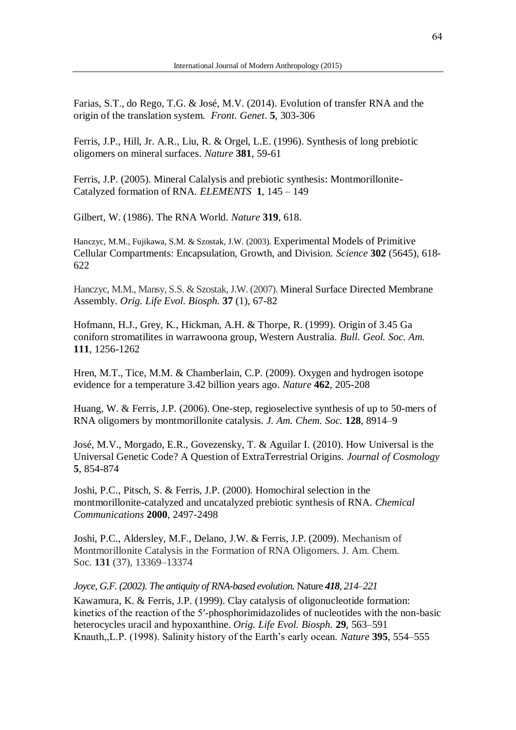Farias, S.T., do Rego, T.G. & José, M.V. (2014). Evolution of transfer RNA and the origin of the translation system. *Front. Genet*. **5**, 303-306

Ferris, J.P., Hill, Jr. A.R., Liu, R. & Orgel, L.E. (1996). Synthesis of long prebiotic oligomers on mineral surfaces. *Nature* **381**, 59-61

Ferris, J.P. (2005). Mineral Calalysis and prebiotic synthesis: Montmorillonite-Catalyzed formation of RNA. *ELEMENTS* **1**, 145 – 149

Gilbert, W. (1986). The RNA World. *Nature* **319**, 618.

Hanczyc, M.M., Fujikawa, S.M. & Szostak, J.W. (2003). Experimental Models of Primitive Cellular Compartments: Encapsulation, Growth, and Division. *Science* **302** (5645), 618- 622

Hanczyc, M.M., Mansy, S.S. & Szostak, J.W. (2007). Mineral Surface Directed Membrane Assembly. *Orig. Life Evol. Biosph.* **37** (1), 67-82

Hofmann, H.J., Grey, K., Hickman, A.H. & Thorpe, R. (1999). Origin of 3.45 Ga coniforn stromatilites in warrawoona group, Western Australia. *Bull. Geol. Soc. Am.* **111**, 1256-1262

Hren, M.T., Tice, M.M. & Chamberlain, C.P. (2009). Oxygen and hydrogen isotope evidence for a temperature 3.42 billion years ago. *Nature* **462**, 205-208

Huang, W. & Ferris, J.P. (2006). One-step, regioselective synthesis of up to 50-mers of RNA oligomers by montmorillonite catalysis. *J. Am. Chem. Soc.* **128**, 8914–9

José, M.V., Morgado, E.R., Govezensky, T. & Aguilar I. (2010). How Universal is the Universal Genetic Code? A Question of ExtraTerrestrial Origins. *Journal of Cosmology*  **5**, 854-874

Joshi, P.C., Pitsch, S. & Ferris, J.P. (2000). Homochiral selection in the montmorillonite-catalyzed and uncatalyzed prebiotic synthesis of RNA. *Chemical Communications* **2000**, 2497-2498

Joshi, P.C., Aldersley, M.F., Delano, J.W. & Ferris, J.P. (2009). Mechanism of Montmorillonite Catalysis in the Formation of RNA Oligomers. J. Am. Chem. Soc. **131** (37), 13369–13374

*Joyce, G.F. (2002). The antiquity of RNA-based evolution.* Nature *418, 214–221* 

Kawamura, K. & Ferris, J.P. (1999). Clay catalysis of oligonucleotide formation: kinetics of the reaction of the 5′-phosphorimidazolides of nucleotides with the non-basic heterocycles uracil and hypoxanthine. *Orig. Life Evol. Biosph.* **29**, 563–591 Knauth,,L.P. (1998). Salinity history of the Earth's early ocean. *Nature* **395**, 554–555